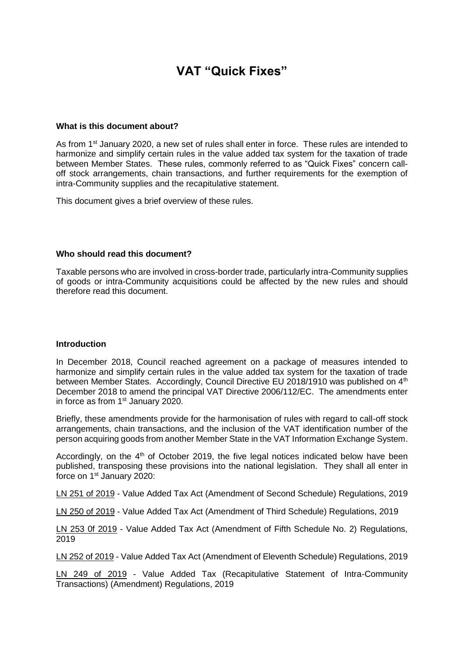# **VAT "Quick Fixes"**

#### **What is this document about?**

As from 1<sup>st</sup> January 2020, a new set of rules shall enter in force. These rules are intended to harmonize and simplify certain rules in the value added tax system for the taxation of trade between Member States. These rules, commonly referred to as "Quick Fixes" concern calloff stock arrangements, chain transactions, and further requirements for the exemption of intra-Community supplies and the recapitulative statement.

This document gives a brief overview of these rules.

#### **Who should read this document?**

Taxable persons who are involved in cross-border trade, particularly intra-Community supplies of goods or intra-Community acquisitions could be affected by the new rules and should therefore read this document.

#### **Introduction**

In December 2018, Council reached agreement on a package of measures intended to harmonize and simplify certain rules in the value added tax system for the taxation of trade between Member States. Accordingly, Council Directive EU 2018/1910 was published on 4<sup>th</sup> December 2018 to amend the principal VAT Directive 2006/112/EC. The amendments enter in force as from 1<sup>st</sup> January 2020.

Briefly, these amendments provide for the harmonisation of rules with regard to call-off stock arrangements, chain transactions, and the inclusion of the VAT identification number of the person acquiring goods from another Member State in the VAT Information Exchange System.

Accordingly, on the  $4<sup>th</sup>$  of October 2019, the five legal notices indicated below have been published, transposing these provisions into the national legislation. They shall all enter in force on 1<sup>st</sup> January 2020:

LN 251 of 2019 - Value Added Tax Act (Amendment of Second Schedule) Regulations, 2019

LN 250 of 2019 - Value Added Tax Act (Amendment of Third Schedule) Regulations, 2019

LN 253 0f 2019 - Value Added Tax Act (Amendment of Fifth Schedule No. 2) Regulations, 2019

LN 252 of 2019 - Value Added Tax Act (Amendment of Eleventh Schedule) Regulations, 2019

LN 249 of 2019 - Value Added Tax (Recapitulative Statement of Intra-Community Transactions) (Amendment) Regulations, 2019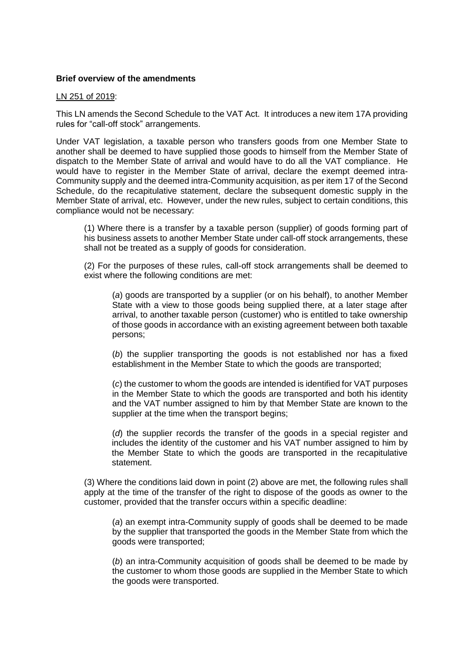### **Brief overview of the amendments**

#### LN 251 of 2019:

This LN amends the Second Schedule to the VAT Act. It introduces a new item 17A providing rules for "call-off stock" arrangements.

Under VAT legislation, a taxable person who transfers goods from one Member State to another shall be deemed to have supplied those goods to himself from the Member State of dispatch to the Member State of arrival and would have to do all the VAT compliance. He would have to register in the Member State of arrival, declare the exempt deemed intra-Community supply and the deemed intra-Community acquisition, as per item 17 of the Second Schedule, do the recapitulative statement, declare the subsequent domestic supply in the Member State of arrival, etc. However, under the new rules, subject to certain conditions, this compliance would not be necessary:

(1) Where there is a transfer by a taxable person (supplier) of goods forming part of his business assets to another Member State under call-off stock arrangements, these shall not be treated as a supply of goods for consideration.

(2) For the purposes of these rules, call-off stock arrangements shall be deemed to exist where the following conditions are met:

(*a*) goods are transported by a supplier (or on his behalf), to another Member State with a view to those goods being supplied there, at a later stage after arrival, to another taxable person (customer) who is entitled to take ownership of those goods in accordance with an existing agreement between both taxable persons;

(*b*) the supplier transporting the goods is not established nor has a fixed establishment in the Member State to which the goods are transported;

(*c*) the customer to whom the goods are intended is identified for VAT purposes in the Member State to which the goods are transported and both his identity and the VAT number assigned to him by that Member State are known to the supplier at the time when the transport begins;

(*d*) the supplier records the transfer of the goods in a special register and includes the identity of the customer and his VAT number assigned to him by the Member State to which the goods are transported in the recapitulative statement.

(3) Where the conditions laid down in point (2) above are met, the following rules shall apply at the time of the transfer of the right to dispose of the goods as owner to the customer, provided that the transfer occurs within a specific deadline:

(*a*) an exempt intra-Community supply of goods shall be deemed to be made by the supplier that transported the goods in the Member State from which the goods were transported;

(*b*) an intra-Community acquisition of goods shall be deemed to be made by the customer to whom those goods are supplied in the Member State to which the goods were transported.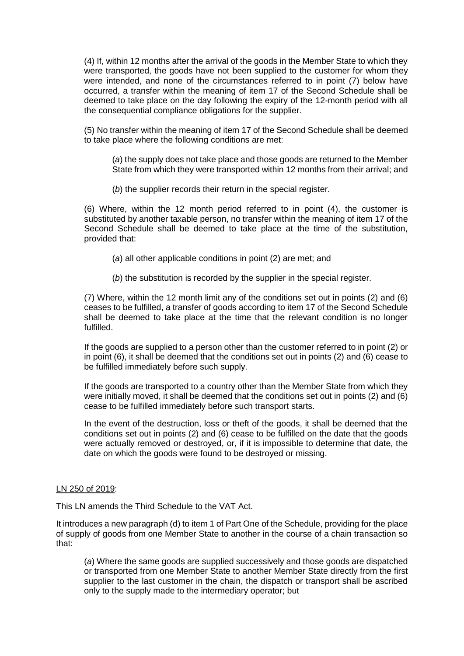(4) If, within 12 months after the arrival of the goods in the Member State to which they were transported, the goods have not been supplied to the customer for whom they were intended, and none of the circumstances referred to in point (7) below have occurred, a transfer within the meaning of item 17 of the Second Schedule shall be deemed to take place on the day following the expiry of the 12-month period with all the consequential compliance obligations for the supplier.

(5) No transfer within the meaning of item 17 of the Second Schedule shall be deemed to take place where the following conditions are met:

(*a*) the supply does not take place and those goods are returned to the Member State from which they were transported within 12 months from their arrival; and

(*b*) the supplier records their return in the special register.

(6) Where, within the 12 month period referred to in point (4), the customer is substituted by another taxable person, no transfer within the meaning of item 17 of the Second Schedule shall be deemed to take place at the time of the substitution, provided that:

(*a*) all other applicable conditions in point (2) are met; and

(*b*) the substitution is recorded by the supplier in the special register.

(7) Where, within the 12 month limit any of the conditions set out in points (2) and (6) ceases to be fulfilled, a transfer of goods according to item 17 of the Second Schedule shall be deemed to take place at the time that the relevant condition is no longer fulfilled.

If the goods are supplied to a person other than the customer referred to in point (2) or in point (6), it shall be deemed that the conditions set out in points (2) and (6) cease to be fulfilled immediately before such supply.

If the goods are transported to a country other than the Member State from which they were initially moved, it shall be deemed that the conditions set out in points (2) and (6) cease to be fulfilled immediately before such transport starts.

In the event of the destruction, loss or theft of the goods, it shall be deemed that the conditions set out in points (2) and (6) cease to be fulfilled on the date that the goods were actually removed or destroyed, or, if it is impossible to determine that date, the date on which the goods were found to be destroyed or missing.

#### LN 250 of 2019:

This LN amends the Third Schedule to the VAT Act.

It introduces a new paragraph (d) to item 1 of Part One of the Schedule, providing for the place of supply of goods from one Member State to another in the course of a chain transaction so that:

(*a*) Where the same goods are supplied successively and those goods are dispatched or transported from one Member State to another Member State directly from the first supplier to the last customer in the chain, the dispatch or transport shall be ascribed only to the supply made to the intermediary operator; but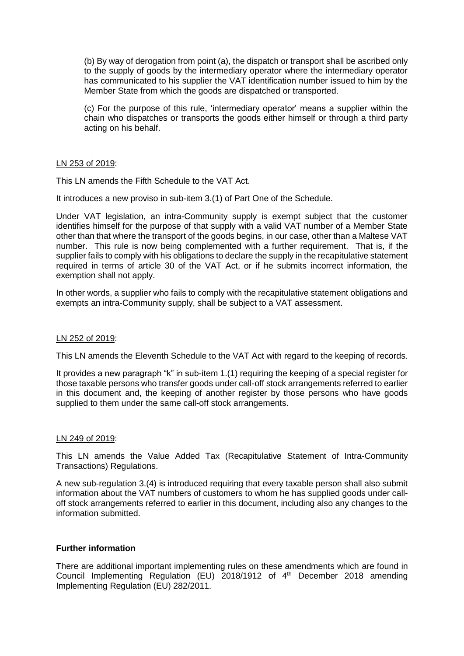(b) By way of derogation from point (a), the dispatch or transport shall be ascribed only to the supply of goods by the intermediary operator where the intermediary operator has communicated to his supplier the VAT identification number issued to him by the Member State from which the goods are dispatched or transported.

(c) For the purpose of this rule, 'intermediary operator' means a supplier within the chain who dispatches or transports the goods either himself or through a third party acting on his behalf.

#### LN 253 of 2019:

This LN amends the Fifth Schedule to the VAT Act.

It introduces a new proviso in sub-item 3.(1) of Part One of the Schedule.

Under VAT legislation, an intra-Community supply is exempt subject that the customer identifies himself for the purpose of that supply with a valid VAT number of a Member State other than that where the transport of the goods begins, in our case, other than a Maltese VAT number. This rule is now being complemented with a further requirement. That is, if the supplier fails to comply with his obligations to declare the supply in the recapitulative statement required in terms of article 30 of the VAT Act, or if he submits incorrect information, the exemption shall not apply.

In other words, a supplier who fails to comply with the recapitulative statement obligations and exempts an intra-Community supply, shall be subject to a VAT assessment.

## LN 252 of 2019:

This LN amends the Eleventh Schedule to the VAT Act with regard to the keeping of records.

It provides a new paragraph "k" in sub-item 1.(1) requiring the keeping of a special register for those taxable persons who transfer goods under call-off stock arrangements referred to earlier in this document and, the keeping of another register by those persons who have goods supplied to them under the same call-off stock arrangements.

#### LN 249 of 2019:

This LN amends the Value Added Tax (Recapitulative Statement of Intra-Community Transactions) Regulations.

A new sub-regulation 3.(4) is introduced requiring that every taxable person shall also submit information about the VAT numbers of customers to whom he has supplied goods under calloff stock arrangements referred to earlier in this document, including also any changes to the information submitted.

#### **Further information**

There are additional important implementing rules on these amendments which are found in Council Implementing Regulation (EU) 2018/1912 of 4<sup>th</sup> December 2018 amending Implementing Regulation (EU) 282/2011.